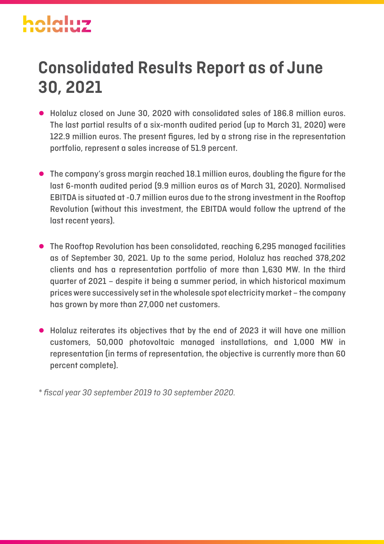# **Consolidated Results Report as of June 30, 2021**

- Holaluz closed on June 30, 2020 with consolidated sales of 186.8 million euros. The last partial results of a six-month audited period (up to March 31, 2020) were 122.9 million euros. The present figures, led by a strong rise in the representation portfolio, represent a sales increase of 51.9 percent.
- The company's gross margin reached 18.1 million euros, doubling the figure for the last 6-month audited period (9.9 million euros as of March 31, 2020). Normalised EBITDA is situated at -0.7 million euros due to the strong investment in the Rooftop Revolution (without this investment, the EBITDA would follow the uptrend of the last recent years).
- The Rooftop Revolution has been consolidated, reaching 6,295 managed facilities as of September 30, 2021. Up to the same period, Holaluz has reached 378,202 clients and has a representation portfolio of more than 1,630 MW. In the third quarter of 2021 – despite it being a summer period, in which historical maximum prices were successively set in the wholesale spot electricity market – the company has grown by more than 27,000 net customers.
- Holaluz reiterates its objectives that by the end of 2023 it will have one million customers, 50,000 photovoltaic managed installations, and 1,000 MW in representation (in terms of representation, the objective is currently more than 60 percent complete).

*\* fiscal year 30 september 2019 to 30 september 2020.*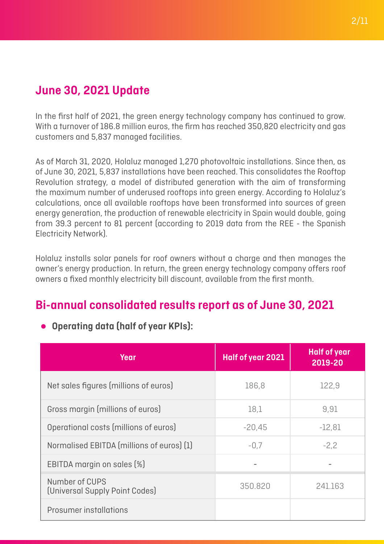# **June 30, 2021 Update**

In the first half of 2021, the green energy technology company has continued to grow. With a turnover of 186.8 million euros, the firm has reached 350,820 electricity and gas customers and 5,837 managed facilities.

As of March 31, 2020, Holaluz managed 1,270 photovoltaic installations. Since then, as of June 30, 2021, 5,837 installations have been reached. This consolidates the Rooftop Revolution strategy, a model of distributed generation with the aim of transforming the maximum number of underused rooftops into green energy. According to Holaluz's calculations, once all available rooftops have been transformed into sources of green energy generation, the production of renewable electricity in Spain would double, going from 39.3 percent to 81 percent (according to 2019 data from the REE - the Spanish Electricity Network).

Holaluz installs solar panels for roof owners without a charge and then manages the owner's energy production. In return, the green energy technology company offers roof owners a fixed monthly electricity bill discount, available from the first month.

## **Bi-annual consolidated results report as of June 30, 2021**

| Year                                             | Half of year 2021 | <b>Half of year</b><br>2019-20 |
|--------------------------------------------------|-------------------|--------------------------------|
| Net sales figures (millions of euros)            | 186,8             | 122,9                          |
| Gross margin (millions of euros)                 | 18,1              | 9,91                           |
| Operational costs (millions of euros)            | $-20,45$          | $-12,81$                       |
| Normalised EBITDA (millions of euros) (1)        | $-0.7$            | $-2,2$                         |
| EBITDA margin on sales [%]                       |                   |                                |
| Number of CUPS<br>(Universal Supply Point Codes) | 350.820           | 241.163                        |
| Prosumer installations                           |                   |                                |

### ● **Operating data (half of year KPIs):**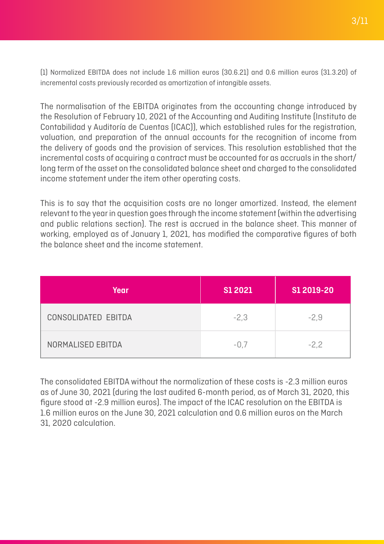(1) Normalized EBITDA does not include 1.6 million euros (30.6.21) and 0.6 million euros (31.3.20) of incremental costs previously recorded as amortization of intangible assets.

The normalisation of the EBITDA originates from the accounting change introduced by the Resolution of February 10, 2021 of the Accounting and Auditing Institute (Instituto de Contabilidad y Auditoría de Cuentas (ICAC)), which established rules for the registration, valuation, and preparation of the annual accounts for the recognition of income from the delivery of goods and the provision of services. This resolution established that the incremental costs of acquiring a contract must be accounted for as accruals in the short/ long term of the asset on the consolidated balance sheet and charged to the consolidated income statement under the item other operating costs.

This is to say that the acquisition costs are no longer amortized. Instead, the element relevant to the year in question goes through the income statement (within the advertising and public relations section). The rest is accrued in the balance sheet. This manner of working, employed as of January 1, 2021, has modified the comparative figures of both the balance sheet and the income statement.

| Year                | <b>S1 2021</b> | S1 2019-20 |
|---------------------|----------------|------------|
| CONSOLIDATED EBITDA | $-2,3$         | $-2,9$     |
| NORMALISED EBITDA   | $-0,7$         | $-2.2$     |

The consolidated EBITDA without the normalization of these costs is -2.3 million euros as of June 30, 2021 (during the last audited 6-month period, as of March 31, 2020, this figure stood at -2.9 million euros). The impact of the ICAC resolution on the EBITDA is 1.6 million euros on the June 30, 2021 calculation and 0.6 million euros on the March 31, 2020 calculation.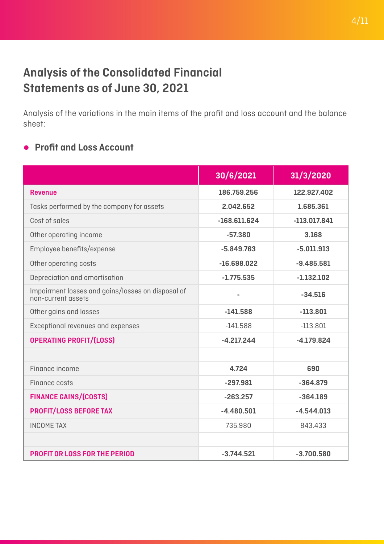# **Analysis of the Consolidated Financial Statements as of June 30, 2021**

Analysis of the variations in the main items of the profit and loss account and the balance sheet:

### ● **Profit and Loss Account**

|                                                                         | 30/6/2021      | 31/3/2020      |
|-------------------------------------------------------------------------|----------------|----------------|
| <b>Revenue</b>                                                          | 186.759.256    | 122.927.402    |
| Tasks performed by the company for assets                               | 2.042.652      | 1.685.361      |
| Cost of sales                                                           | $-168.611.624$ | $-113.017.841$ |
| Other operating income                                                  | $-57.380$      | 3.168          |
| Employee benefits/expense                                               | $-5.849.763$   | $-5.011.913$   |
| Other operating costs                                                   | $-16.698.022$  | $-9.485.581$   |
| Depreciation and amortisation                                           | $-1.775.535$   | $-1.132.102$   |
| Impairment losses and gains/losses on disposal of<br>non-current assets |                | $-34.516$      |
| Other gains and losses                                                  | $-141.588$     | $-113.801$     |
| Exceptional revenues and expenses                                       | $-141.588$     | $-113.801$     |
| <b>OPERATING PROFIT/(LOSS)</b>                                          | $-4.217.244$   | $-4.179.824$   |
|                                                                         |                |                |
| Finance income                                                          | 4.724          | 690            |
| Finance costs                                                           | $-297.981$     | $-364.879$     |
| <b>FINANCE GAINS/(COSTS)</b>                                            | $-263.257$     | $-364.189$     |
| <b>PROFIT/LOSS BEFORE TAX</b>                                           | $-4.480.501$   | $-4.544.013$   |
| <b>INCOME TAX</b>                                                       | 735.980        | 843.433        |
|                                                                         |                |                |
| <b>PROFIT OR LOSS FOR THE PERIOD</b>                                    | $-3.744.521$   | $-3.700.580$   |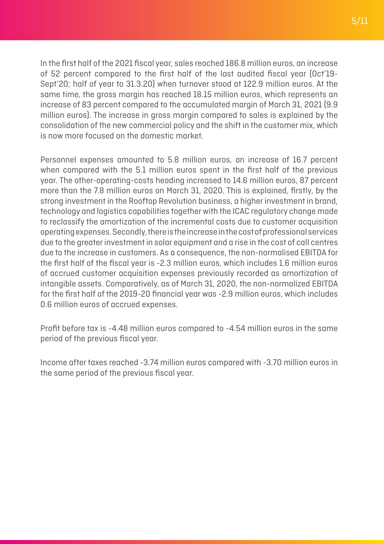In the first half of the 2021 fiscal year, sales reached 186.8 million euros, an increase of 52 percent compared to the first half of the last audited fiscal year (Oct'19- Sept'20; half of year to 31.3.20) when turnover stood at 122.9 million euros. At the same time, the gross margin has reached 18.15 million euros, which represents an increase of 83 percent compared to the accumulated margin of March 31, 2021 (9.9 million euros). The increase in gross margin compared to sales is explained by the consolidation of the new commercial policy and the shift in the customer mix, which is now more focused on the domestic market.

Personnel expenses amounted to 5.8 million euros, an increase of 16.7 percent when compared with the 5.1 million euros spent in the first half of the previous year. The other-operating-costs heading increased to 14.6 million euros, 87 percent more than the 7.8 million euros on March 31, 2020. This is explained, firstly, by the strong investment in the Rooftop Revolution business, a higher investment in brand, technology and logistics capabilities together with the ICAC regulatory change made to reclassify the amortization of the incremental costs due to customer acquisition operating expenses. Secondly, there is the increase in the cost of professional services due to the greater investment in solar equipment and a rise in the cost of call centres due to the increase in customers. As a consequence, the non-normalised EBITDA for the first half of the fiscal year is -2.3 million euros, which includes 1.6 million euros of accrued customer acquisition expenses previously recorded as amortization of intangible assets. Comparatively, as of March 31, 2020, the non-normalized EBITDA for the first half of the 2019-20 financial year was -2.9 million euros, which includes 0.6 million euros of accrued expenses.

Profit before tax is -4.48 million euros compared to -4.54 million euros in the same period of the previous fiscal year.

Income after taxes reached -3.74 million euros compared with -3.70 million euros in the same period of the previous fiscal year.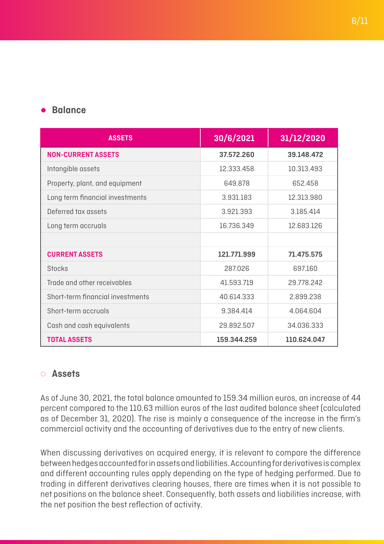#### ● **Balance**

| <b>ASSETS</b>                    | 30/6/2021   | 31/12/2020  |
|----------------------------------|-------------|-------------|
| <b>NON-CURRENT ASSETS</b>        | 37.572.260  | 39.148.472  |
| Intangible assets                | 12.333.458  | 10.313.493  |
| Property, plant, and equipment   | 649.878     | 652.458     |
| Long term financial investments  | 3.931.183   | 12.313.980  |
| Deferred tax assets              | 3.921.393   | 3.185.414   |
| Long term accruals               | 16.736.349  | 12.683.126  |
|                                  |             |             |
| <b>CURRENT ASSETS</b>            | 121.771.999 | 71.475.575  |
| <b>Stocks</b>                    | 287.026     | 697.160     |
| Trade and other receivables      | 41.593.719  | 29.778.242  |
| Short-term financial investments | 40.614.333  | 2.899.238   |
| Short-term accruals              | 9.384.414   | 4.064.604   |
| Cash and cash equivalents        | 29.892.507  | 34.036.333  |
| <b>TOTAL ASSETS</b>              | 159.344.259 | 110.624.047 |

#### ◌ **Assets**

As of June 30, 2021, the total balance amounted to 159.34 million euros, an increase of 44 percent compared to the 110.63 million euros of the last audited balance sheet (calculated as of December 31, 2020). The rise is mainly a consequence of the increase in the firm's commercial activity and the accounting of derivatives due to the entry of new clients.

When discussing derivatives on acquired energy, it is relevant to compare the difference between hedges accounted for in assets and liabilities. Accounting for derivatives is complex and different accounting rules apply depending on the type of hedging performed. Due to trading in different derivatives clearing houses, there are times when it is not possible to net positions on the balance sheet. Consequently, both assets and liabilities increase, with the net position the best reflection of activity.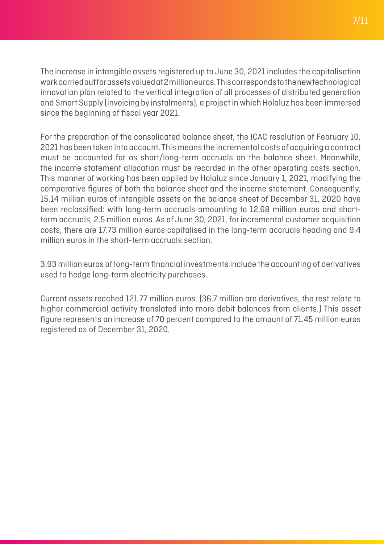7/11

The increase in intangible assets registered up to June 30, 2021 includes the capitalisation work carried out for assets valued at 2 million euros. This corresponds to the new technological innovation plan related to the vertical integration of all processes of distributed generation and Smart Supply (invoicing by instalments), a project in which Holaluz has been immersed since the beginning of fiscal year 2021.

For the preparation of the consolidated balance sheet, the ICAC resolution of February 10, 2021 has been taken into account. This means the incremental costs of acquiring a contract must be accounted for as short/long-term accruals on the balance sheet. Meanwhile, the income statement allocation must be recorded in the other operating costs section. This manner of working has been applied by Holaluz since January 1, 2021, modifying the comparative figures of both the balance sheet and the income statement. Consequently, 15.14 million euros of intangible assets on the balance sheet of December 31, 2020 have been reclassified: with long-term accruals amounting to 12.68 million euros and shortterm accruals, 2.5 million euros. As of June 30, 2021, for incremental customer acquisition costs, there are 17.73 million euros capitalised in the long-term accruals heading and 9.4 million euros in the short-term accruals section.

3.93 million euros of long-term financial investments include the accounting of derivatives used to hedge long-term electricity purchases.

Current assets reached 121.77 million euros. (36.7 million are derivatives, the rest relate to higher commercial activity translated into more debit balances from clients.) This asset figure represents an increase of 70 percent compared to the amount of 71.45 million euros registered as of December 31, 2020.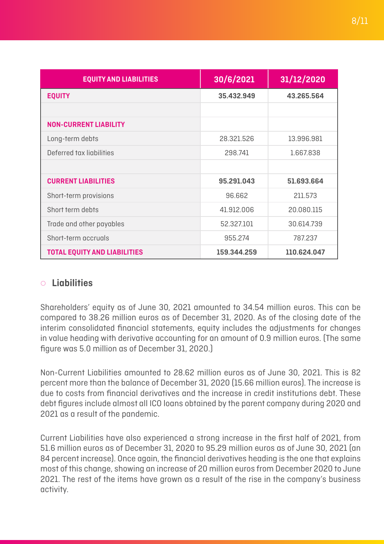| <b>EQUITY AND LIABILITIES</b>       | 30/6/2021   | 31/12/2020  |
|-------------------------------------|-------------|-------------|
| <b>EQUITY</b>                       | 35.432.949  | 43.265.564  |
|                                     |             |             |
| <b>NON-CURRENT LIABILITY</b>        |             |             |
| Long-term debts                     | 28.321.526  | 13.996.981  |
| Deferred tax liabilities            | 298.741     | 1.667.838   |
|                                     |             |             |
| <b>CURRENT LIABILITIES</b>          | 95.291.043  | 51.693.664  |
| Short-term provisions               | 96.662      | 211.573     |
| Short term debts                    | 41.912.006  | 20.080.115  |
| Trade and other payables            | 52.327.101  | 30.614.739  |
| Short-term accruals                 | 955.274     | 787.237     |
| <b>TOTAL EQUITY AND LIABILITIES</b> | 159.344.259 | 110.624.047 |

#### ◌ **Liabilities**

Shareholders' equity as of June 30, 2021 amounted to 34.54 million euros. This can be compared to 38.26 million euros as of December 31, 2020. As of the closing date of the interim consolidated financial statements, equity includes the adjustments for changes in value heading with derivative accounting for an amount of 0.9 million euros. (The same figure was 5.0 million as of December 31, 2020.)

Non-Current Liabilities amounted to 28.62 million euros as of June 30, 2021. This is 82 percent more than the balance of December 31, 2020 (15.66 million euros). The increase is due to costs from financial derivatives and the increase in credit institutions debt. These debt figures include almost all ICO loans obtained by the parent company during 2020 and 2021 as a result of the pandemic.

Current Liabilities have also experienced a strong increase in the first half of 2021, from 51.6 million euros as of December 31, 2020 to 95.29 million euros as of June 30, 2021 (an 84 percent increase). Once again, the financial derivatives heading is the one that explains most of this change, showing an increase of 20 million euros from December 2020 to June 2021. The rest of the items have grown as a result of the rise in the company's business activity.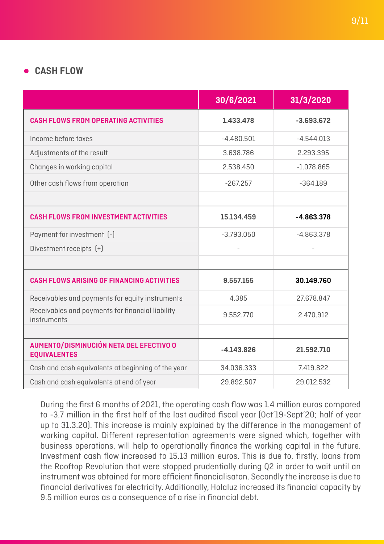#### ● **CASH FLOW**

|                                                                 | 30/6/2021    | 31/3/2020    |
|-----------------------------------------------------------------|--------------|--------------|
| <b>CASH FLOWS FROM OPERATING ACTIVITIES</b>                     | 1.433.478    | $-3.693.672$ |
| Income before taxes                                             | $-4.480.501$ | $-4.544.013$ |
| Adjustments of the result                                       | 3.638.786    | 2.293.395    |
| Changes in working capital                                      | 2.538.450    | $-1.078.865$ |
| Other cash flows from operation                                 | $-267.257$   | $-364.189$   |
|                                                                 |              |              |
| <b>CASH FLOWS FROM INVESTMENT ACTIVITIES</b>                    | 15.134.459   | $-4.863.378$ |
| Payment for investment [-]                                      | $-3.793.050$ | $-4.863.378$ |
| Divestment receipts [+]                                         |              |              |
|                                                                 |              |              |
| <b>CASH FLOWS ARISING OF FINANCING ACTIVITIES</b>               | 9.557.155    | 30.149.760   |
| Receivables and payments for equity instruments                 | 4.385        | 27.678.847   |
| Receivables and payments for financial liability<br>instruments | 9.552.770    | 2.470.912    |
|                                                                 |              |              |
| AUMENTO/DISMINUCIÓN NETA DEL EFECTIVO O<br><b>EQUIVALENTES</b>  | $-4.143.826$ | 21.592.710   |
| Cash and cash equivalents at beginning of the year              | 34.036.333   | 7.419.822    |
| Cash and cash equivalents at end of year                        | 29.892.507   | 29.012.532   |

During the first 6 months of 2021, the operating cash flow was 1.4 million euros compared to -3.7 million in the first half of the last audited fiscal year (Oct'19-Sept'20; half of year up to 31.3.20). This increase is mainly explained by the difference in the management of working capital. Different representation agreements were signed which, together with business operations, will help to operationally finance the working capital in the future. Investment cash flow increased to 15.13 million euros. This is due to, firstly, loans from the Rooftop Revolution that were stopped prudentially during Q2 in order to wait until an instrument was obtained for more efficient financialisaton. Secondly the increase is due to financial derivatives for electricity. Additionally, Holaluz increased its financial capacity by 9.5 million euros as a consequence of a rise in financial debt.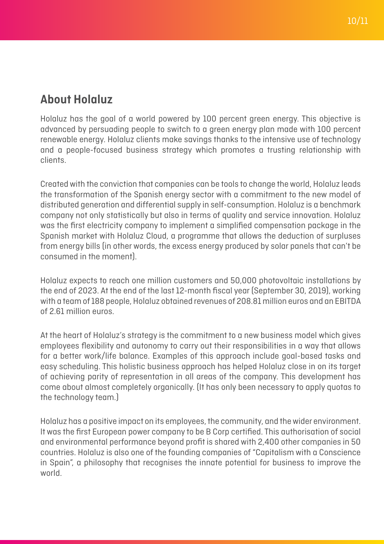# **About Holaluz**

Holaluz has the goal of a world powered by 100 percent green energy. This objective is advanced by persuading people to switch to a green energy plan made with 100 percent renewable energy. Holaluz clients make savings thanks to the intensive use of technology and a people-focused business strategy which promotes a trusting relationship with clients.

Created with the conviction that companies can be tools to change the world, Holaluz leads the transformation of the Spanish energy sector with a commitment to the new model of distributed generation and differential supply in self-consumption. Holaluz is a benchmark company not only statistically but also in terms of quality and service innovation. Holaluz was the first electricity company to implement a simplified compensation package in the Spanish market with Holaluz Cloud, a programme that allows the deduction of surpluses from energy bills (in other words, the excess energy produced by solar panels that can't be consumed in the moment).

Holaluz expects to reach one million customers and 50,000 photovoltaic installations by the end of 2023. At the end of the last 12-month fiscal year (September 30, 2019), working with a team of 188 people, Holaluz obtained revenues of 208.81 million euros and an EBITDA of 2.61 million euros.

At the heart of Holaluz's strategy is the commitment to a new business model which gives employees flexibility and autonomy to carry out their responsibilities in a way that allows for a better work/life balance. Examples of this approach include goal-based tasks and easy scheduling. This holistic business approach has helped Holaluz close in on its target of achieving parity of representation in all areas of the company. This development has come about almost completely organically. (It has only been necessary to apply quotas to the technology team.)

Holaluz has a positive impact on its employees, the community, and the wider environment. It was the first European power company to be B Corp certified. This authorisation of social and environmental performance beyond profit is shared with 2,400 other companies in 50 countries. Holaluz is also one of the founding companies of "Capitalism with a Conscience in Spain", a philosophy that recognises the innate potential for business to improve the world.